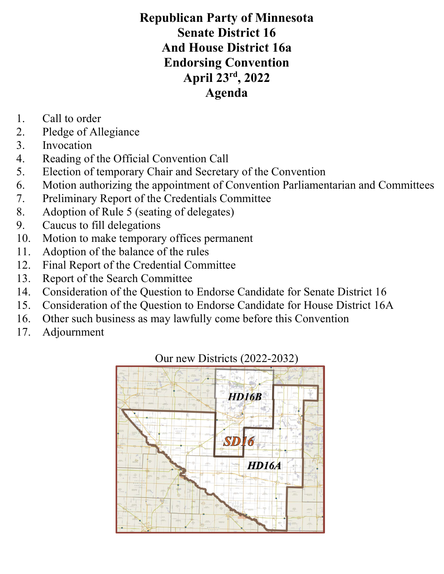# Republican Party of Minnesota Senate District 16 And House District 16a Endorsing Convention April 23rd, 2022 Agenda

- 1. Call to order
- 2. Pledge of Allegiance
- 3. Invocation
- 4. Reading of the Official Convention Call
- 5. Election of temporary Chair and Secretary of the Convention
- 6. Motion authorizing the appointment of Convention Parliamentarian and Committees
- 7. Preliminary Report of the Credentials Committee
- 8. Adoption of Rule 5 (seating of delegates)
- 9. Caucus to fill delegations
- 10. Motion to make temporary offices permanent
- 11. Adoption of the balance of the rules
- 12. Final Report of the Credential Committee
- 13. Report of the Search Committee
- 14. Consideration of the Question to Endorse Candidate for Senate District 16
- 15. Consideration of the Question to Endorse Candidate for House District 16A
- 16. Other such business as may lawfully come before this Convention
- 17. Adjournment

# $HD/6B$ **HD16A**

## Our new Districts (2022-2032)